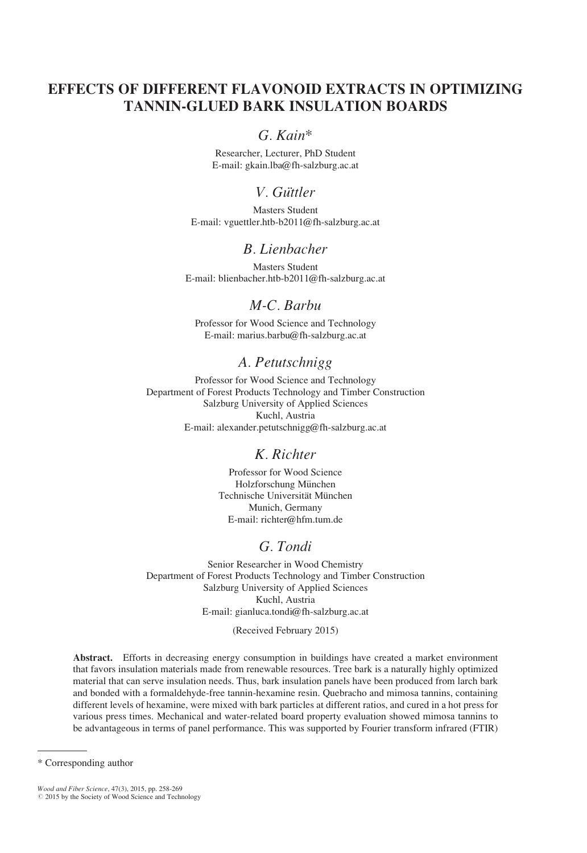# EFFECTS OF DIFFERENT FLAVONOID EXTRACTS IN OPTIMIZING TANNIN-GLUED BARK INSULATION BOARDS

## G. Kain\*

Researcher, Lecturer, PhD Student E-mail: gkain.lba@fh-salzburg.ac.at

# V. Güttler

Masters Student E-mail: vguettler.htb-b2011@fh-salzburg.ac.at

## B. Lienbacher

Masters Student E-mail: blienbacher.htb-b2011@fh-salzburg.ac.at

# M-C. Barbu

Professor for Wood Science and Technology E-mail: marius.barbu@fh-salzburg.ac.at

# A. Petutschnigg

Professor for Wood Science and Technology Department of Forest Products Technology and Timber Construction Salzburg University of Applied Sciences Kuchl, Austria E-mail: alexander.petutschnigg@fh-salzburg.ac.at

## K. Richter

Professor for Wood Science Holzforschung München Technische Universität München Munich, Germany E-mail: richter@hfm.tum.de

## G. Tondi

Senior Researcher in Wood Chemistry Department of Forest Products Technology and Timber Construction Salzburg University of Applied Sciences Kuchl, Austria E-mail: gianluca.tondi@fh-salzburg.ac.at

(Received February 2015)

Abstract. Efforts in decreasing energy consumption in buildings have created a market environment that favors insulation materials made from renewable resources. Tree bark is a naturally highly optimized material that can serve insulation needs. Thus, bark insulation panels have been produced from larch bark and bonded with a formaldehyde-free tannin-hexamine resin. Quebracho and mimosa tannins, containing different levels of hexamine, were mixed with bark particles at different ratios, and cured in a hot press for various press times. Mechanical and water-related board property evaluation showed mimosa tannins to be advantageous in terms of panel performance. This was supported by Fourier transform infrared (FTIR)

<sup>\*</sup> Corresponding author

Wood and Fiber Science, 47(3), 2015, pp. 258-269<br>© 2015 by the Society of Wood Science and Technology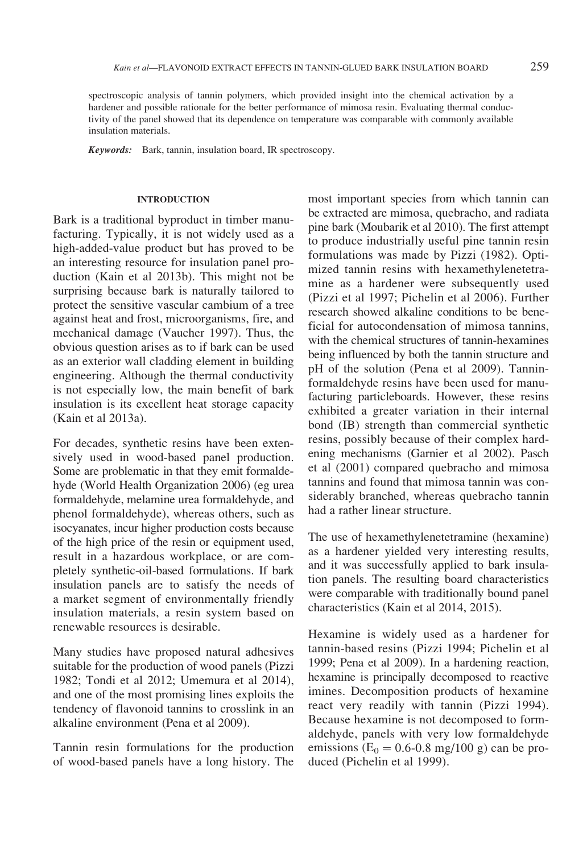spectroscopic analysis of tannin polymers, which provided insight into the chemical activation by a hardener and possible rationale for the better performance of mimosa resin. Evaluating thermal conductivity of the panel showed that its dependence on temperature was comparable with commonly available insulation materials.

Keywords: Bark, tannin, insulation board, IR spectroscopy.

### INTRODUCTION

Bark is a traditional byproduct in timber manufacturing. Typically, it is not widely used as a high-added-value product but has proved to be an interesting resource for insulation panel production (Kain et al 2013b). This might not be surprising because bark is naturally tailored to protect the sensitive vascular cambium of a tree against heat and frost, microorganisms, fire, and mechanical damage (Vaucher 1997). Thus, the obvious question arises as to if bark can be used as an exterior wall cladding element in building engineering. Although the thermal conductivity is not especially low, the main benefit of bark insulation is its excellent heat storage capacity (Kain et al 2013a).

For decades, synthetic resins have been extensively used in wood-based panel production. Some are problematic in that they emit formaldehyde (World Health Organization 2006) (eg urea formaldehyde, melamine urea formaldehyde, and phenol formaldehyde), whereas others, such as isocyanates, incur higher production costs because of the high price of the resin or equipment used, result in a hazardous workplace, or are completely synthetic-oil-based formulations. If bark insulation panels are to satisfy the needs of a market segment of environmentally friendly insulation materials, a resin system based on renewable resources is desirable.

Many studies have proposed natural adhesives suitable for the production of wood panels (Pizzi 1982; Tondi et al 2012; Umemura et al 2014), and one of the most promising lines exploits the tendency of flavonoid tannins to crosslink in an alkaline environment (Pena et al 2009).

Tannin resin formulations for the production of wood-based panels have a long history. The most important species from which tannin can be extracted are mimosa, quebracho, and radiata pine bark (Moubarik et al 2010). The first attempt to produce industrially useful pine tannin resin formulations was made by Pizzi (1982). Optimized tannin resins with hexamethylenetetramine as a hardener were subsequently used (Pizzi et al 1997; Pichelin et al 2006). Further research showed alkaline conditions to be beneficial for autocondensation of mimosa tannins, with the chemical structures of tannin-hexamines being influenced by both the tannin structure and pH of the solution (Pena et al 2009). Tanninformaldehyde resins have been used for manufacturing particleboards. However, these resins exhibited a greater variation in their internal bond (IB) strength than commercial synthetic resins, possibly because of their complex hardening mechanisms (Garnier et al 2002). Pasch et al (2001) compared quebracho and mimosa tannins and found that mimosa tannin was considerably branched, whereas quebracho tannin had a rather linear structure.

The use of hexamethylenetetramine (hexamine) as a hardener yielded very interesting results, and it was successfully applied to bark insulation panels. The resulting board characteristics were comparable with traditionally bound panel characteristics (Kain et al 2014, 2015).

Hexamine is widely used as a hardener for tannin-based resins (Pizzi 1994; Pichelin et al 1999; Pena et al 2009). In a hardening reaction, hexamine is principally decomposed to reactive imines. Decomposition products of hexamine react very readily with tannin (Pizzi 1994). Because hexamine is not decomposed to formaldehyde, panels with very low formaldehyde emissions ( $E_0 = 0.6 - 0.8$  mg/100 g) can be produced (Pichelin et al 1999).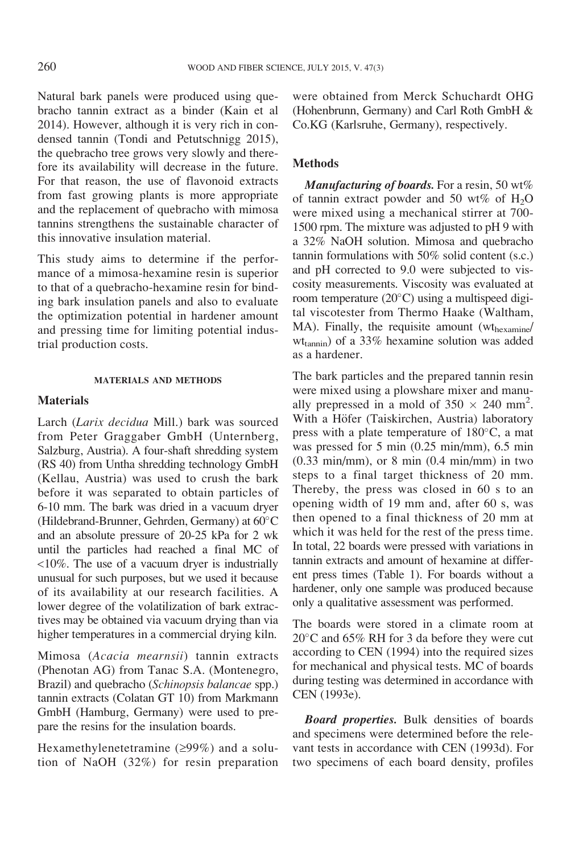Natural bark panels were produced using quebracho tannin extract as a binder (Kain et al 2014). However, although it is very rich in condensed tannin (Tondi and Petutschnigg 2015), the quebracho tree grows very slowly and therefore its availability will decrease in the future. For that reason, the use of flavonoid extracts from fast growing plants is more appropriate and the replacement of quebracho with mimosa tannins strengthens the sustainable character of this innovative insulation material.

This study aims to determine if the performance of a mimosa-hexamine resin is superior to that of a quebracho-hexamine resin for binding bark insulation panels and also to evaluate the optimization potential in hardener amount and pressing time for limiting potential industrial production costs.

#### MATERIALS AND METHODS

### Materials

Larch (Larix decidua Mill.) bark was sourced from Peter Graggaber GmbH (Unternberg, Salzburg, Austria). A four-shaft shredding system (RS 40) from Untha shredding technology GmbH (Kellau, Austria) was used to crush the bark before it was separated to obtain particles of 6-10 mm. The bark was dried in a vacuum dryer (Hildebrand-Brunner, Gehrden, Germany) at 60°C and an absolute pressure of 20-25 kPa for 2 wk until the particles had reached a final MC of <10%. The use of a vacuum dryer is industrially unusual for such purposes, but we used it because of its availability at our research facilities. A lower degree of the volatilization of bark extractives may be obtained via vacuum drying than via higher temperatures in a commercial drying kiln.

Mimosa (Acacia mearnsii) tannin extracts (Phenotan AG) from Tanac S.A. (Montenegro, Brazil) and quebracho (Schinopsis balancae spp.) tannin extracts (Colatan GT 10) from Markmann GmbH (Hamburg, Germany) were used to prepare the resins for the insulation boards.

Hexamethylenetetramine  $(≥99%)$  and a solution of NaOH (32%) for resin preparation were obtained from Merck Schuchardt OHG (Hohenbrunn, Germany) and Carl Roth GmbH & Co.KG (Karlsruhe, Germany), respectively.

### Methods

**Manufacturing of boards.** For a resin, 50  $wt\%$ of tannin extract powder and 50 wt% of  $H_2O$ were mixed using a mechanical stirrer at 700- 1500 rpm. The mixture was adjusted to pH 9 with a 32% NaOH solution. Mimosa and quebracho tannin formulations with 50% solid content (s.c.) and pH corrected to 9.0 were subjected to viscosity measurements. Viscosity was evaluated at room temperature  $(20^{\circ}C)$  using a multispeed digital viscotester from Thermo Haake (Waltham, MA). Finally, the requisite amount (wthexamine/ wttannin) of a 33% hexamine solution was added as a hardener.

The bark particles and the prepared tannin resin were mixed using a plowshare mixer and manually prepressed in a mold of  $350 \times 240$  mm<sup>2</sup>. With a Höfer (Taiskirchen, Austria) laboratory press with a plate temperature of  $180^{\circ}$ C, a mat was pressed for 5 min  $(0.25 \text{ min/mm})$ , 6.5 min  $(0.33 \text{ min/mm})$ , or 8 min  $(0.4 \text{ min/mm})$  in two steps to a final target thickness of 20 mm. Thereby, the press was closed in 60 s to an opening width of 19 mm and, after 60 s, was then opened to a final thickness of 20 mm at which it was held for the rest of the press time. In total, 22 boards were pressed with variations in tannin extracts and amount of hexamine at different press times (Table 1). For boards without a hardener, only one sample was produced because only a qualitative assessment was performed.

The boards were stored in a climate room at  $20^{\circ}$ C and 65% RH for 3 da before they were cut according to CEN (1994) into the required sizes for mechanical and physical tests. MC of boards during testing was determined in accordance with CEN (1993e).

**Board properties.** Bulk densities of boards and specimens were determined before the relevant tests in accordance with CEN (1993d). For two specimens of each board density, profiles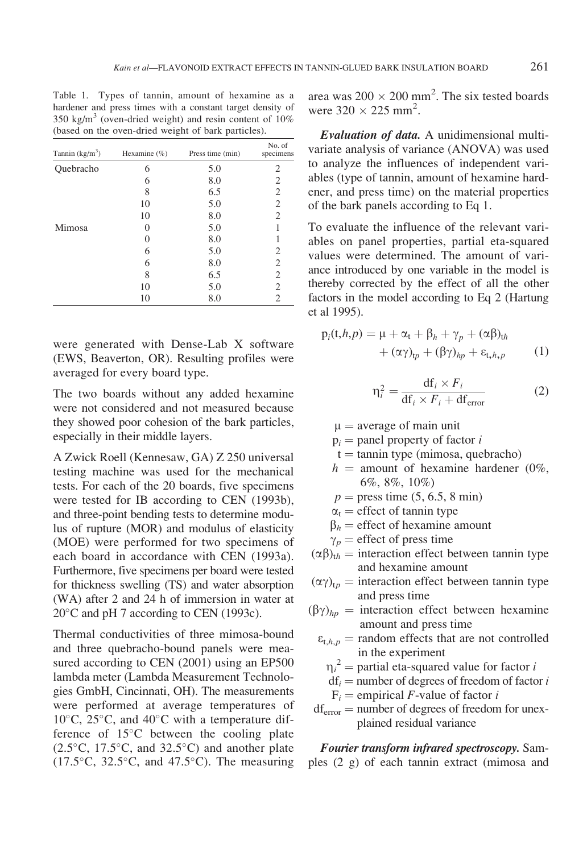Table 1. Types of tannin, amount of hexamine as a hardener and press times with a constant target density of 350 kg/m<sup>3</sup> (oven-dried weight) and resin content of  $10\%$ (based on the oven-dried weight of bark particles).

| Tannin $(kg/m^3)$ | Hexamine $(\%)$ | Press time (min) | No. of<br>specimens |
|-------------------|-----------------|------------------|---------------------|
| Quebracho         | 6               | 5.0              | 2                   |
|                   | 6               | 8.0              | 2                   |
|                   | 8               | 6.5              | 2                   |
|                   | 10              | 5.0              | 2                   |
|                   | 10              | 8.0              | $\overline{2}$      |
| Mimosa            |                 | 5.0              | 1                   |
|                   | $\left($        | 8.0              | 1                   |
|                   | 6               | 5.0              | 2                   |
|                   | 6               | 8.0              | 2                   |
|                   | 8               | 6.5              | 2                   |
|                   | 10              | 5.0              | 2                   |
|                   | 10              | 8.0              | 2                   |

were generated with Dense-Lab X software (EWS, Beaverton, OR). Resulting profiles were averaged for every board type.

The two boards without any added hexamine were not considered and not measured because they showed poor cohesion of the bark particles, especially in their middle layers.

A Zwick Roell (Kennesaw, GA) Z 250 universal testing machine was used for the mechanical tests. For each of the 20 boards, five specimens were tested for IB according to CEN (1993b), and three-point bending tests to determine modulus of rupture (MOR) and modulus of elasticity (MOE) were performed for two specimens of each board in accordance with CEN (1993a). Furthermore, five specimens per board were tested for thickness swelling (TS) and water absorption (WA) after 2 and 24 h of immersion in water at  $20^{\circ}$ C and pH 7 according to CEN (1993c).

Thermal conductivities of three mimosa-bound and three quebracho-bound panels were measured according to CEN (2001) using an EP500 lambda meter (Lambda Measurement Technologies GmbH, Cincinnati, OH). The measurements were performed at average temperatures of  $10^{\circ}$ C,  $25^{\circ}$ C, and  $40^{\circ}$ C with a temperature difference of  $15^{\circ}$ C between the cooling plate  $(2.5^{\circ}C, 17.5^{\circ}C,$  and  $32.5^{\circ}C)$  and another plate  $(17.5\textdegree C, 32.5\textdegree C,$  and  $47.5\textdegree C)$ . The measuring

area was  $200 \times 200$  mm<sup>2</sup>. The six tested boards were  $320 \times 225$  mm<sup>2</sup>.

Evaluation of data. A unidimensional multivariate analysis of variance (ANOVA) was used to analyze the influences of independent variables (type of tannin, amount of hexamine hardener, and press time) on the material properties of the bark panels according to Eq 1.

To evaluate the influence of the relevant variables on panel properties, partial eta-squared values were determined. The amount of variance introduced by one variable in the model is thereby corrected by the effect of all the other factors in the model according to Eq 2 (Hartung et al 1995).

$$
p_i(t, h, p) = \mu + \alpha_t + \beta_h + \gamma_p + (\alpha \beta)_{th}
$$
  
+ 
$$
(\alpha \gamma)_{tp} + (\beta \gamma)_{hp} + \varepsilon_{t, h, p}
$$
 (1)

$$
\eta_i^2 = \frac{\mathrm{df}_i \times F_i}{\mathrm{df}_i \times F_i + \mathrm{df}_{\text{error}}}
$$
 (2)

 $\mu$  = average of main unit

- $p_i$  = panel property of factor *i*
- $t = \tanh(y)e$  (mimosa, quebracho)
- $h =$  amount of hexamine hardener (0%, 6%, 8%, 10%)
- $p = \text{press time } (5, 6.5, 8 \text{ min})$
- $\alpha_t$  = effect of tannin type
- $\beta_h$  = effect of hexamine amount
- $\gamma_p$  = effect of press time
- $(\alpha\beta)_{th}$  = interaction effect between tannin type and hexamine amount
- $(\alpha \gamma)_{tp}$  = interaction effect between tannin type and press time
- $(\beta \gamma)_{hp}$  = interaction effect between hexamine amount and press time
	- $\varepsilon_{t,h,p}$  = random effects that are not controlled in the experiment
		- $\eta_i^2$  = partial eta-squared value for factor i
		- $\eta_i$  = partial eta-squared value for factor *t*<br>  $df_i$  = number of degrees of freedom of factor *t*
		- $F_i$  = empirical *F*-value of factor *i*
- $df_{error}$  = number of degrees of freedom for unexplained residual variance

Fourier transform infrared spectroscopy. Samples (2 g) of each tannin extract (mimosa and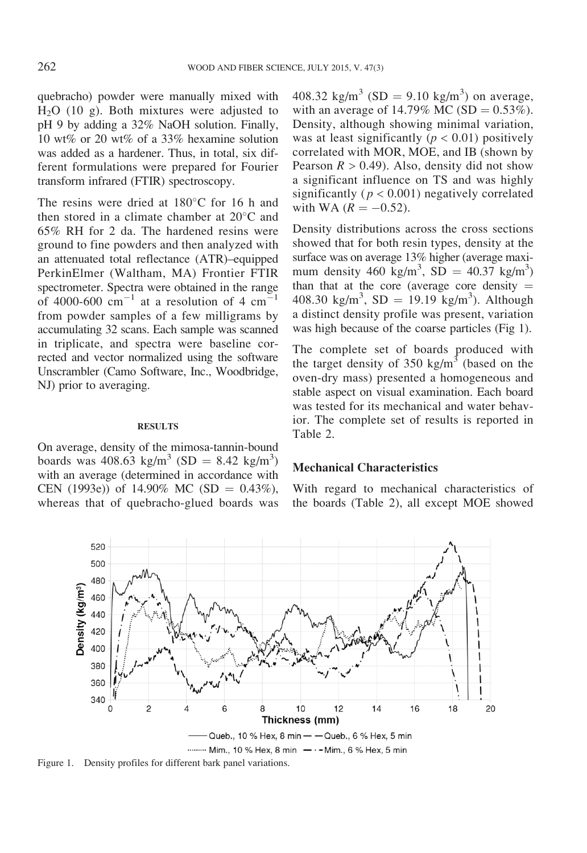quebracho) powder were manually mixed with H2O (10 g). Both mixtures were adjusted to pH 9 by adding a 32% NaOH solution. Finally, 10 wt% or 20 wt% of a 33% hexamine solution was added as a hardener. Thus, in total, six different formulations were prepared for Fourier transform infrared (FTIR) spectroscopy.

The resins were dried at  $180^{\circ}$ C for 16 h and then stored in a climate chamber at  $20^{\circ}$ C and 65% RH for 2 da. The hardened resins were ground to fine powders and then analyzed with an attenuated total reflectance (ATR)–equipped PerkinElmer (Waltham, MA) Frontier FTIR spectrometer. Spectra were obtained in the range of 4000-600  $\text{cm}^{-1}$  at a resolution of 4  $\text{cm}^{-1}$ from powder samples of a few milligrams by accumulating 32 scans. Each sample was scanned in triplicate, and spectra were baseline corrected and vector normalized using the software Unscrambler (Camo Software, Inc., Woodbridge, NJ) prior to averaging.

### **RESULTS**

On average, density of the mimosa-tannin-bound boards was  $408.63 \text{ kg/m}^3 \text{ (SD} = 8.42 \text{ kg/m}^3)$ with an average (determined in accordance with CEN (1993e)) of 14.90% MC (SD =  $0.43\%$ ), whereas that of quebracho-glued boards was

408.32 kg/m<sup>3</sup> (SD = 9.10 kg/m<sup>3</sup>) on average, with an average of 14.79% MC (SD =  $0.53\%$ ). Density, although showing minimal variation, was at least significantly ( $p < 0.01$ ) positively correlated with MOR, MOE, and IB (shown by Pearson  $R > 0.49$ ). Also, density did not show a significant influence on TS and was highly significantly ( $p < 0.001$ ) negatively correlated with WA  $(R = -0.52)$ .

Density distributions across the cross sections showed that for both resin types, density at the surface was on average 13% higher (average maximum density 460 kg/m<sup>3</sup>, SD = 40.37 kg/m<sup>3</sup>) than that at the core (average core density  $=$ 408.30 kg/m<sup>3</sup>, SD = 19.19 kg/m<sup>3</sup>). Although a distinct density profile was present, variation was high because of the coarse particles (Fig 1).

The complete set of boards produced with the target density of 350 kg/m<sup>3</sup> (based on the oven-dry mass) presented a homogeneous and stable aspect on visual examination. Each board was tested for its mechanical and water behavior. The complete set of results is reported in Table 2.

### Mechanical Characteristics

With regard to mechanical characteristics of the boards (Table 2), all except MOE showed



Figure 1. Density profiles for different bark panel variations.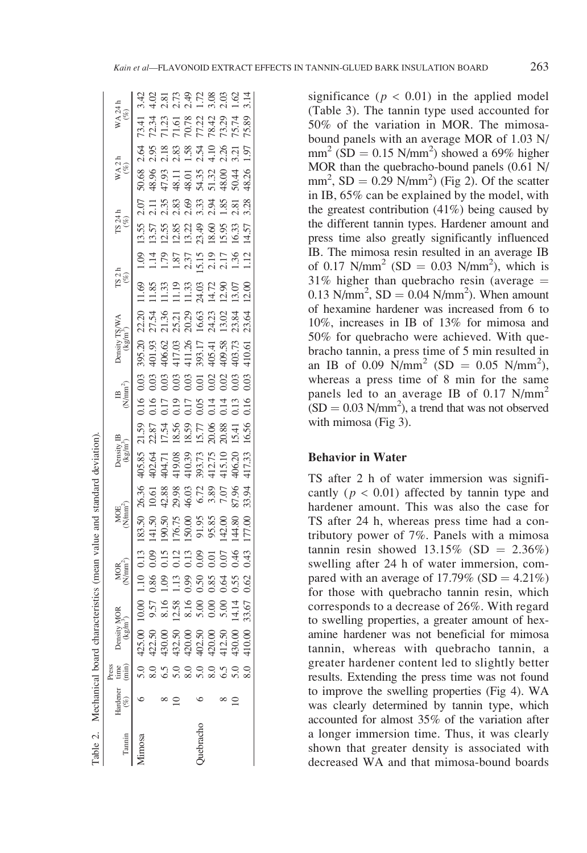| ؚ<br>ڔ       |
|--------------|
|              |
| ֧֦֦֦֚֚֚֚֚֚֝֝ |
| is case is   |
| wan wa ku    |
| a langua t   |
|              |
|              |
| I            |
| į            |

|          |                                                                     | Press |                                                                                                                                                                                                                                                                                                                 |                                    |                                                                                       |               |                                                                                                                           |                                                                                                                                                                                                                                             |                                  |                                                                             |                                               |                                                                                                                                                                                                                                              |                    |                                |                                    |  |
|----------|---------------------------------------------------------------------|-------|-----------------------------------------------------------------------------------------------------------------------------------------------------------------------------------------------------------------------------------------------------------------------------------------------------------------|------------------------------------|---------------------------------------------------------------------------------------|---------------|---------------------------------------------------------------------------------------------------------------------------|---------------------------------------------------------------------------------------------------------------------------------------------------------------------------------------------------------------------------------------------|----------------------------------|-----------------------------------------------------------------------------|-----------------------------------------------|----------------------------------------------------------------------------------------------------------------------------------------------------------------------------------------------------------------------------------------------|--------------------|--------------------------------|------------------------------------|--|
|          | $\begin{tabular}{ll} Hadener & time \\ ( \%) & (min) \end{tabular}$ |       | Density 1<br>(kg/m                                                                                                                                                                                                                                                                                              |                                    |                                                                                       |               | MOE<br>N/mm                                                                                                               | Density IB<br>$(kg/m^3)$                                                                                                                                                                                                                    | $\mathbb{B}_{(N/\mathrm{mm}^2)}$ |                                                                             |                                               |                                                                                                                                                                                                                                              | $T S 241$<br>$(%)$ | WA 2 h $\stackrel{(96)}{(\%)}$ | $WA$ 24 h<br>$\binom{66}{6}$       |  |
| unosa    |                                                                     |       |                                                                                                                                                                                                                                                                                                                 |                                    |                                                                                       |               | 183.50 26.36                                                                                                              |                                                                                                                                                                                                                                             |                                  |                                                                             |                                               |                                                                                                                                                                                                                                              |                    |                                |                                    |  |
|          |                                                                     |       |                                                                                                                                                                                                                                                                                                                 |                                    | 0.86                                                                                  | 0.09          |                                                                                                                           |                                                                                                                                                                                                                                             |                                  |                                                                             |                                               |                                                                                                                                                                                                                                              |                    |                                |                                    |  |
|          |                                                                     |       |                                                                                                                                                                                                                                                                                                                 |                                    | 1.09                                                                                  | 0.15          |                                                                                                                           |                                                                                                                                                                                                                                             |                                  |                                                                             |                                               |                                                                                                                                                                                                                                              |                    |                                |                                    |  |
|          |                                                                     |       |                                                                                                                                                                                                                                                                                                                 |                                    |                                                                                       | 0.12          |                                                                                                                           |                                                                                                                                                                                                                                             |                                  |                                                                             |                                               |                                                                                                                                                                                                                                              |                    |                                |                                    |  |
|          |                                                                     |       |                                                                                                                                                                                                                                                                                                                 |                                    |                                                                                       | 0.13          |                                                                                                                           |                                                                                                                                                                                                                                             |                                  |                                                                             |                                               |                                                                                                                                                                                                                                              |                    |                                |                                    |  |
| uebracho |                                                                     |       |                                                                                                                                                                                                                                                                                                                 |                                    |                                                                                       | 0.09          |                                                                                                                           |                                                                                                                                                                                                                                             |                                  |                                                                             |                                               |                                                                                                                                                                                                                                              |                    |                                |                                    |  |
|          |                                                                     |       |                                                                                                                                                                                                                                                                                                                 |                                    |                                                                                       | 0.01          |                                                                                                                           |                                                                                                                                                                                                                                             |                                  |                                                                             |                                               |                                                                                                                                                                                                                                              |                    |                                |                                    |  |
|          |                                                                     |       | $\begin{array}{l} 5.0 \\ 5.0 \\ 8.0 \\ 8.1 \\ 9.0 \\ 9.0 \\ 10.0 \\ 10.0 \\ 10.0 \\ 10.0 \\ 10.0 \\ 10.0 \\ 10.0 \\ 10.0 \\ 10.0 \\ 10.0 \\ 10.0 \\ 10.0 \\ 10.0 \\ 10.0 \\ 10.0 \\ 10.0 \\ 10.0 \\ 10.0 \\ 10.0 \\ 10.0 \\ 10.0 \\ 10.0 \\ 10.0 \\ 10.0 \\ 10.0 \\ 10.0 \\ 10.0 \\ 10.0 \\ 10.0 \\ 10.0 \\ 10$ | 000<br>557836000011678361483600001 | $\begin{array}{c} 1.3 \\ 1.99 \\ 0.95 \\ 0.85 \\ 0.65 \\ 0.62 \\ 0.62 \\ \end{array}$ | 0.043<br>0.43 | 141.50 10.61<br>190.50 42.88<br>176.75 29.98<br>176.75 29.98<br>150.00 7.07<br>95.88 87.96<br>95.88 00.51<br>144.80 87.94 | 405.85 21.59 0.16 0.03<br>402.64 22.87 0.16 0.03<br>404.71 17.54 0.17 0.03<br>419.08 18.56 0.19 0.03<br>410.39 18.59 0.17 0.05 0.01<br>393.73 15.77 0.05 0.01<br>415.10 20.88 0.14 0.02<br>406.20 15.41 0.13 0.03<br>417.33 16.56 0.16 0.03 |                                  | 395.20<br>401.93<br>406.62<br>417.26<br>411.26<br>403.73<br>40.61<br>410.61 | ន្ត<br>ដូង មួតខ្លួន ដូន ដូច<br>ដូង មួន ដូច ដូ | 11.69 1.09 1.35 2.07<br>11.85 1.14 13.57 2.11<br>11.33 1.79 12.55 2.35<br>11.19 1.87 12.85 2.83<br>11.33 2.37 13.22 2.99 3.33<br>14.72 2.19 18.60 2.94 1.85<br>14.72 2.17 15.95 1.85 2.81<br>13.07 1.36 16.33 2.81<br>1.30 1.12 14.57 3.28 4 |                    |                                | おおだいかだいが、<br>さいだいかいかい。<br>せなどはないない |  |
|          |                                                                     |       |                                                                                                                                                                                                                                                                                                                 |                                    |                                                                                       |               |                                                                                                                           |                                                                                                                                                                                                                                             |                                  |                                                                             |                                               |                                                                                                                                                                                                                                              |                    |                                |                                    |  |
|          |                                                                     |       |                                                                                                                                                                                                                                                                                                                 |                                    |                                                                                       |               |                                                                                                                           |                                                                                                                                                                                                                                             |                                  |                                                                             |                                               |                                                                                                                                                                                                                                              |                    |                                |                                    |  |

significance ( $p < 0.01$ ) in the applied model (Table 3). The tannin type used accounted for 50% of the variation in MOR. The mimosabound panels with an average MOR of 1.03 N/  $mm^2$  (SD = 0.15 N/mm<sup>2</sup>) showed a 69% higher MOR than the quebracho-bound panels (0.61 N/  $mm^2$ , SD = 0.29 N/mm<sup>2</sup>) (Fig 2). Of the scatter in IB, 65% can be explained by the model, with the greatest contribution (41%) being caused by the different tannin types. Hardener amount and press time also greatly significantly influenced IB. The mimosa resin resulted in an average IB of 0.17 N/mm<sup>2</sup> (SD = 0.03 N/mm<sup>2</sup>), which is  $31\%$  higher than quebracho resin (average  $=$  $0.13$  N/mm<sup>2</sup>, SD =  $0.04$  N/mm<sup>2</sup>). When amount of hexamine hardener was increased from 6 to 10%, increases in IB of 13% for mimosa and 50% for quebracho were achieved. With quebracho tannin, a press time of 5 min resulted in an IB of 0.09  $\text{N/mm}^2$  (SD = 0.05 N/mm<sup>2</sup>), whereas a press time of 8 min for the same panels led to an average IB of  $0.17$  N/mm<sup>2</sup>  $(SD = 0.03 \text{ N/mm}^2)$ , a trend that was not observed with mimosa (Fig 3).

## Behavior in Water

TS after 2 h of water immersion was significantly ( $p < 0.01$ ) affected by tannin type and hardener amount. This was also the case for TS after 24 h, whereas press time had a contributory power of 7%. Panels with a mimosa tannin resin showed  $13.15\%$  (SD = 2.36%) swelling after 24 h of water immersion, compared with an average of 17.79% (SD =  $4.21\%$ ) for those with quebracho tannin resin, which corresponds to a decrease of 26%. With regard to swelling properties, a greater amount of hexamine hardener was not beneficial for mimosa tannin, whereas with quebracho tannin, a greater hardener content led to slightly better results. Extending the press time was not found to improve the swelling properties (Fig 4). WA was clearly determined by tannin type, which accounted for almost 35% of the variation after a longer immersion time. Thus, it was clearly shown that greater density is associated with decreased WA and that mimosa-bound boards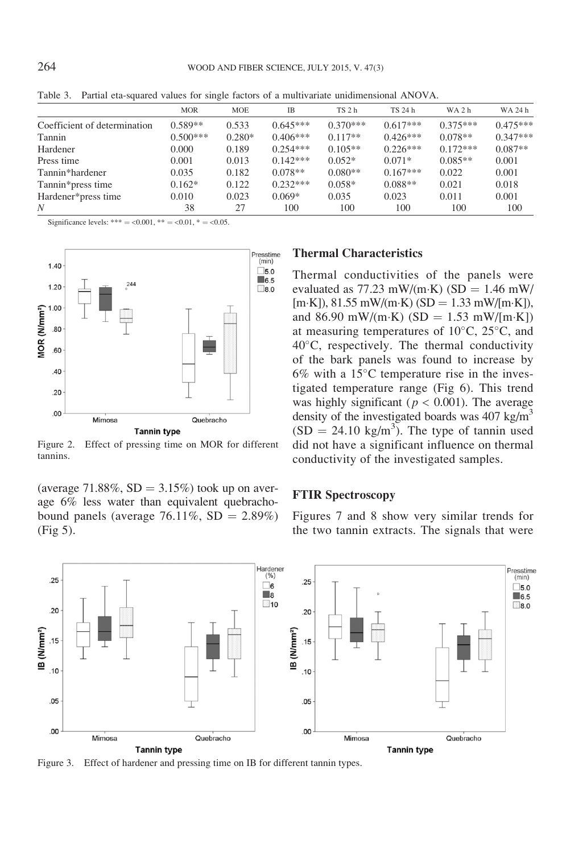|                              | <b>MOR</b> | <b>MOE</b> | <b>IB</b>  | TS <sub>2</sub> h | TS 24 h    | WA <sub>2</sub> h | WA 24 h    |
|------------------------------|------------|------------|------------|-------------------|------------|-------------------|------------|
| Coefficient of determination | $0.589**$  | 0.533      | $0.645***$ | $0.370***$        | $0.617***$ | $0.375***$        | $0.475***$ |
| Tannin                       | $0.500***$ | $0.280*$   | $0.406***$ | $0.117**$         | $0.426***$ | $0.078**$         | $0.347***$ |
| Hardener                     | 0.000      | 0.189      | $0.254***$ | $0.105**$         | $0.226***$ | $0.172***$        | $0.087**$  |
| Press time                   | 0.001      | 0.013      | $0.142***$ | $0.052*$          | $0.071*$   | $0.085**$         | 0.001      |
| Tannin*hardener              | 0.035      | 0.182      | $0.078**$  | $0.080**$         | $0.167***$ | 0.022             | 0.001      |
| Tannin*press time            | $0.162*$   | 0.122      | $0.232***$ | $0.058*$          | $0.088**$  | 0.021             | 0.018      |
| Hardener*press time          | 0.010      | 0.023      | $0.069*$   | 0.035             | 0.023      | 0.011             | 0.001      |
| N                            | 38         | 27         | 100        | 100               | 100        | 100               | 100        |

Table 3. Partial eta-squared values for single factors of a multivariate unidimensional ANOVA.

Significance levels: \*\*\* = <0.001, \*\* = <0.01, \* = <0.05.



Figure 2. Effect of pressing time on MOR for different tannins.

(average 71.88%,  $SD = 3.15\%$ ) took up on average 6% less water than equivalent quebrachobound panels (average  $76.11\%$ , SD = 2.89%) (Fig 5).

## Thermal Characteristics

Thermal conductivities of the panels were evaluated as  $77.23$  mW/(m·K) (SD = 1.46 mW/  $[m\text{-}K]$ , 81.55 mW/(m·K) (SD = 1.33 mW/[m·K]), and 86.90 mW/(m·K) (SD = 1.53 mW/[m·K]) at measuring temperatures of  $10^{\circ}$ C,  $25^{\circ}$ C, and 40°C, respectively. The thermal conductivity of the bark panels was found to increase by  $6\%$  with a 15 $\degree$ C temperature rise in the investigated temperature range (Fig 6). This trend was highly significant ( $p < 0.001$ ). The average density of the investigated boards was  $407 \text{ kg/m}^3$  $(SD = 24.10 \text{ kg/m}^3)$ . The type of tannin used did not have a significant influence on thermal conductivity of the investigated samples.

### FTIR Spectroscopy

Figures 7 and 8 show very similar trends for the two tannin extracts. The signals that were



Figure 3. Effect of hardener and pressing time on IB for different tannin types.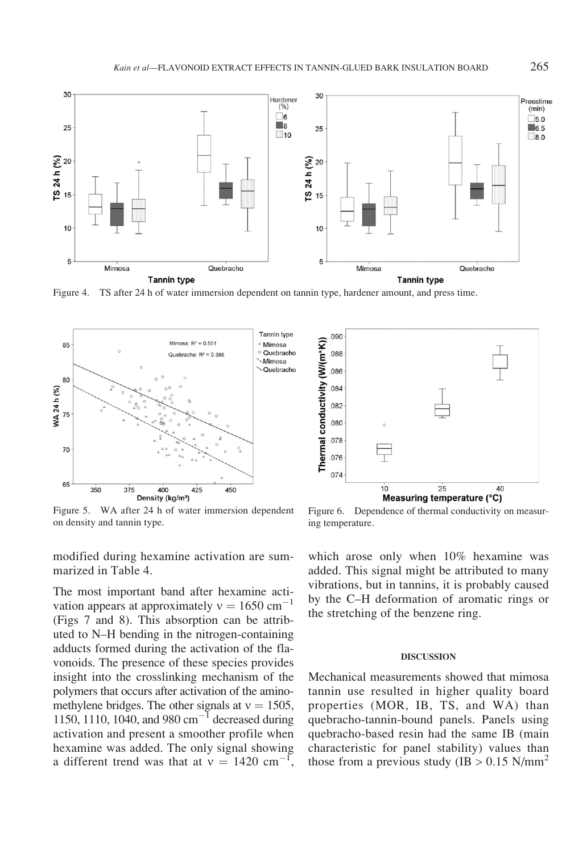

Figure 4. TS after 24 h of water immersion dependent on tannin type, hardener amount, and press time.



Figure 5. WA after 24 h of water immersion dependent on density and tannin type.

modified during hexamine activation are summarized in Table 4.

The most important band after hexamine activation appears at approximately  $v = 1650$  cm<sup>-1</sup> (Figs 7 and 8). This absorption can be attributed to N–H bending in the nitrogen-containing adducts formed during the activation of the flavonoids. The presence of these species provides insight into the crosslinking mechanism of the polymers that occurs after activation of the aminomethylene bridges. The other signals at  $v = 1505$ , 1150, 1110, 1040, and 980  $\text{cm}^{-1}$  decreased during activation and present a smoother profile when hexamine was added. The only signal showing a different trend was that at  $v = 1420$  cm<sup>-1</sup> ,



Figure 6. Dependence of thermal conductivity on measuring temperature.

which arose only when 10% hexamine was added. This signal might be attributed to many vibrations, but in tannins, it is probably caused by the C–H deformation of aromatic rings or the stretching of the benzene ring.

### DISCUSSION

Mechanical measurements showed that mimosa tannin use resulted in higher quality board properties (MOR, IB, TS, and WA) than quebracho-tannin-bound panels. Panels using quebracho-based resin had the same IB (main characteristic for panel stability) values than those from a previous study (IB  $> 0.15$  N/mm<sup>2</sup>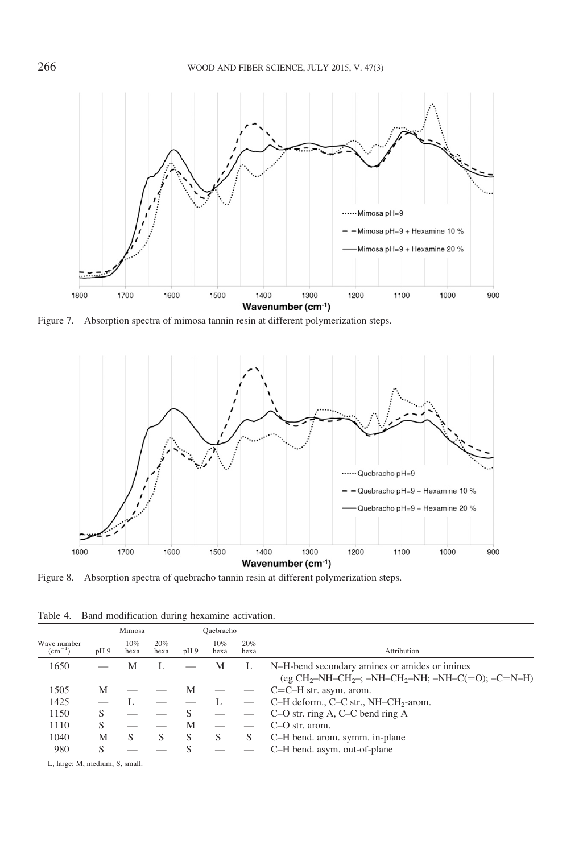

Figure 7. Absorption spectra of mimosa tannin resin at different polymerization steps.



Figure 8. Absorption spectra of quebracho tannin resin at different polymerization steps.

Table 4. Band modification during hexamine activation.

|                                |     | Mimosa      |             |              | Ouebracho   |             |                                                                                                                                         |
|--------------------------------|-----|-------------|-------------|--------------|-------------|-------------|-----------------------------------------------------------------------------------------------------------------------------------------|
| Wave number<br>$\rm (cm^{-1})$ | pH9 | 10%<br>hexa | 20%<br>hexa | pH9          | 10%<br>hexa | 20%<br>hexa | Attribution                                                                                                                             |
| 1650                           |     | М           |             |              | M           |             | N-H-bend secondary amines or amides or imines<br>(eg CH <sub>2</sub> -NH-CH <sub>2</sub> -; -NH-CH <sub>2</sub> -NH; -NH-C(=O); -C=N-H) |
| 1505                           | М   |             |             | M            |             |             | $C=C-H$ str. asym. arom.                                                                                                                |
| 1425                           |     |             |             |              |             |             | C-H deform., C-C str., NH-CH <sub>2</sub> -arom.                                                                                        |
| 1150                           | S   |             |             |              |             |             | C-O str. ring A, C-C bend ring A                                                                                                        |
| 1110                           | S   |             |             | М            |             |             | $C-O$ str. arom.                                                                                                                        |
| 1040                           | M   | S           | S           | <sub>S</sub> | S           | S           | C-H bend. arom. symm. in-plane                                                                                                          |
| 980                            | S   |             |             |              |             |             | C-H bend. asym. out-of-plane                                                                                                            |

L, large; M, medium; S, small.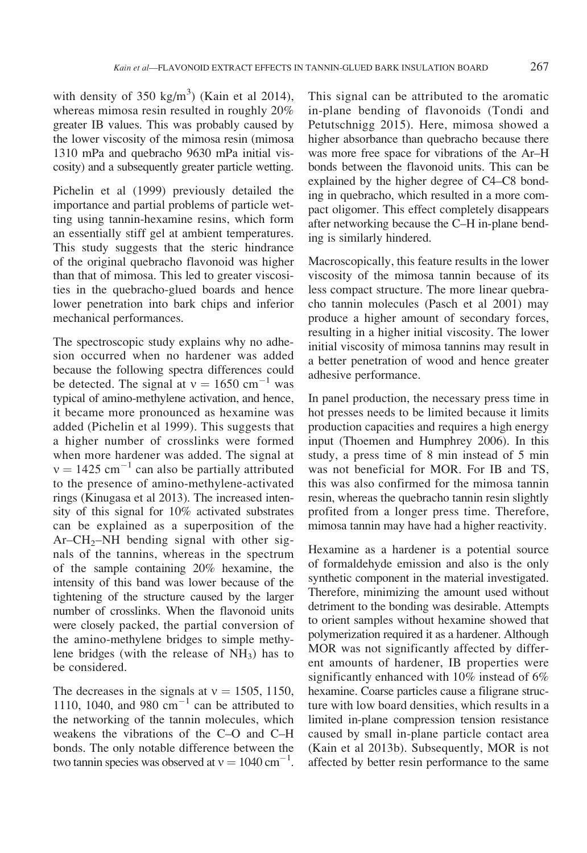with density of 350 kg/m<sup>3</sup>) (Kain et al 2014), whereas mimosa resin resulted in roughly 20% greater IB values. This was probably caused by the lower viscosity of the mimosa resin (mimosa 1310 mPa and quebracho 9630 mPa initial viscosity) and a subsequently greater particle wetting.

Pichelin et al (1999) previously detailed the importance and partial problems of particle wetting using tannin-hexamine resins, which form an essentially stiff gel at ambient temperatures. This study suggests that the steric hindrance of the original quebracho flavonoid was higher than that of mimosa. This led to greater viscosities in the quebracho-glued boards and hence lower penetration into bark chips and inferior mechanical performances.

The spectroscopic study explains why no adhesion occurred when no hardener was added because the following spectra differences could be detected. The signal at  $v = 1650$  cm<sup>-1</sup> was typical of amino-methylene activation, and hence, it became more pronounced as hexamine was added (Pichelin et al 1999). This suggests that a higher number of crosslinks were formed when more hardener was added. The signal at  $v = 1425$  cm<sup>-1</sup> can also be partially attributed to the presence of amino-methylene-activated rings (Kinugasa et al 2013). The increased intensity of this signal for 10% activated substrates can be explained as a superposition of the  $Ar$ – $CH_2$ – $NH$  bending signal with other signals of the tannins, whereas in the spectrum of the sample containing 20% hexamine, the intensity of this band was lower because of the tightening of the structure caused by the larger number of crosslinks. When the flavonoid units were closely packed, the partial conversion of the amino-methylene bridges to simple methylene bridges (with the release of  $NH<sub>3</sub>$ ) has to be considered.

The decreases in the signals at  $v = 1505$ , 1150, 1110, 1040, and 980 cm<sup>-1</sup> can be attributed to the networking of the tannin molecules, which weakens the vibrations of the C–O and C–H bonds. The only notable difference between the two tannin species was observed at  $v = 1040 \text{ cm}^{-1}$ . This signal can be attributed to the aromatic in-plane bending of flavonoids (Tondi and Petutschnigg 2015). Here, mimosa showed a higher absorbance than quebracho because there was more free space for vibrations of the Ar–H bonds between the flavonoid units. This can be explained by the higher degree of C4–C8 bonding in quebracho, which resulted in a more compact oligomer. This effect completely disappears after networking because the C–H in-plane bending is similarly hindered.

Macroscopically, this feature results in the lower viscosity of the mimosa tannin because of its less compact structure. The more linear quebracho tannin molecules (Pasch et al 2001) may produce a higher amount of secondary forces, resulting in a higher initial viscosity. The lower initial viscosity of mimosa tannins may result in a better penetration of wood and hence greater adhesive performance.

In panel production, the necessary press time in hot presses needs to be limited because it limits production capacities and requires a high energy input (Thoemen and Humphrey 2006). In this study, a press time of 8 min instead of 5 min was not beneficial for MOR. For IB and TS, this was also confirmed for the mimosa tannin resin, whereas the quebracho tannin resin slightly profited from a longer press time. Therefore, mimosa tannin may have had a higher reactivity.

Hexamine as a hardener is a potential source of formaldehyde emission and also is the only synthetic component in the material investigated. Therefore, minimizing the amount used without detriment to the bonding was desirable. Attempts to orient samples without hexamine showed that polymerization required it as a hardener. Although MOR was not significantly affected by different amounts of hardener, IB properties were significantly enhanced with 10% instead of 6% hexamine. Coarse particles cause a filigrane structure with low board densities, which results in a limited in-plane compression tension resistance caused by small in-plane particle contact area (Kain et al 2013b). Subsequently, MOR is not affected by better resin performance to the same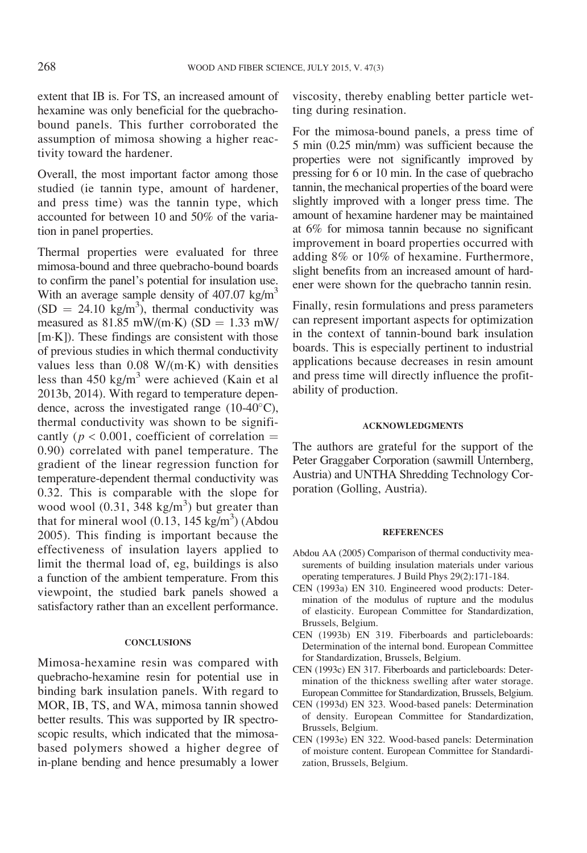extent that IB is. For TS, an increased amount of hexamine was only beneficial for the quebrachobound panels. This further corroborated the assumption of mimosa showing a higher reactivity toward the hardener.

Overall, the most important factor among those studied (ie tannin type, amount of hardener, and press time) was the tannin type, which accounted for between 10 and 50% of the variation in panel properties.

Thermal properties were evaluated for three mimosa-bound and three quebracho-bound boards to confirm the panel's potential for insulation use. With an average sample density of  $407.07$  kg/m<sup>3</sup>  $(SD = 24.10 \text{ kg/m}^3)$ , thermal conductivity was measured as  $81.85$  mW/(m·K) (SD = 1.33 mW/  $[m-K]$ ). These findings are consistent with those of previous studies in which thermal conductivity values less than  $0.08 \text{ W/(m·K)}$  with densities less than 450 kg/m<sup>3</sup> were achieved (Kain et al 2013b, 2014). With regard to temperature dependence, across the investigated range  $(10-40^{\circ}C)$ , thermal conductivity was shown to be significantly ( $p < 0.001$ , coefficient of correlation = 0.90) correlated with panel temperature. The gradient of the linear regression function for temperature-dependent thermal conductivity was 0.32. This is comparable with the slope for wood wool  $(0.31, 348 \text{ kg/m}^3)$  but greater than that for mineral wool  $(0.13, 145 \text{ kg/m}^3)$  (Abdou 2005). This finding is important because the effectiveness of insulation layers applied to limit the thermal load of, eg, buildings is also a function of the ambient temperature. From this viewpoint, the studied bark panels showed a satisfactory rather than an excellent performance.

#### CONCLUSIONS

Mimosa-hexamine resin was compared with quebracho-hexamine resin for potential use in binding bark insulation panels. With regard to MOR, IB, TS, and WA, mimosa tannin showed better results. This was supported by IR spectroscopic results, which indicated that the mimosabased polymers showed a higher degree of in-plane bending and hence presumably a lower

viscosity, thereby enabling better particle wetting during resination.

For the mimosa-bound panels, a press time of 5 min (0.25 min/mm) was sufficient because the properties were not significantly improved by pressing for 6 or 10 min. In the case of quebracho tannin, the mechanical properties of the board were slightly improved with a longer press time. The amount of hexamine hardener may be maintained at 6% for mimosa tannin because no significant improvement in board properties occurred with adding 8% or 10% of hexamine. Furthermore, slight benefits from an increased amount of hardener were shown for the quebracho tannin resin.

Finally, resin formulations and press parameters can represent important aspects for optimization in the context of tannin-bound bark insulation boards. This is especially pertinent to industrial applications because decreases in resin amount and press time will directly influence the profitability of production.

### ACKNOWLEDGMENTS

The authors are grateful for the support of the Peter Graggaber Corporation (sawmill Unternberg, Austria) and UNTHA Shredding Technology Corporation (Golling, Austria).

#### **REFERENCES**

- Abdou AA (2005) Comparison of thermal conductivity measurements of building insulation materials under various operating temperatures. J Build Phys 29(2):171-184.
- CEN (1993a) EN 310. Engineered wood products: Determination of the modulus of rupture and the modulus of elasticity. European Committee for Standardization, Brussels, Belgium.
- CEN (1993b) EN 319. Fiberboards and particleboards: Determination of the internal bond. European Committee for Standardization, Brussels, Belgium.
- CEN (1993c) EN 317. Fiberboards and particleboards: Determination of the thickness swelling after water storage. European Committee for Standardization, Brussels, Belgium.
- CEN (1993d) EN 323. Wood-based panels: Determination of density. European Committee for Standardization, Brussels, Belgium.
- CEN (1993e) EN 322. Wood-based panels: Determination of moisture content. European Committee for Standardization, Brussels, Belgium.